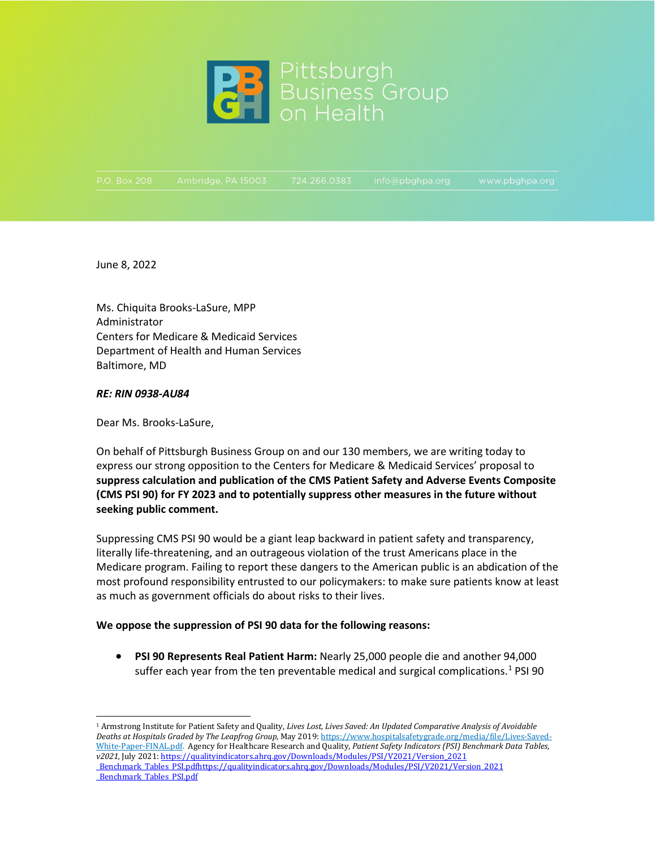

June 8, 2022

Ms. Chiquita Brooks-LaSure, MPP Administrator Centers for Medicare & Medicaid Services Department of Health and Human Services Baltimore, MD

## *RE: RIN 0938-AU84*

Dear Ms. Brooks-LaSure,

On behalf of Pittsburgh Business Group on and our 130 members, we are writing today to express our strong opposition to the Centers for Medicare & Medicaid Services' proposal to **suppress calculation and publication of the CMS Patient Safety and Adverse Events Composite (CMS PSI 90) for FY 2023 and to potentially suppress other measures in the future without seeking public comment.** 

Suppressing CMS PSI 90 would be a giant leap backward in patient safety and transparency, literally life-threatening, and an outrageous violation of the trust Americans place in the Medicare program. Failing to report these dangers to the American public is an abdication of the most profound responsibility entrusted to our policymakers: to make sure patients know at least as much as government officials do about risks to their lives.

## **We oppose the suppression of PSI 90 data for the following reasons:**

• **PSI 90 Represents Real Patient Harm:** Nearly 25,000 people die and another 94,000 suffer each year from the ten preventable medical and surgical complications. $1$  PSI 90

<span id="page-0-0"></span><sup>1</sup> Armstrong Institute for Patient Safety and Quality, *Lives Lost, Lives Saved: An Updated Comparative Analysis of Avoidable Deaths at Hospitals Graded by The Leapfrog Group,* May 2019[: https://www.hospitalsafetygrade.org/media/file/Lives-Saved-](https://www.hospitalsafetygrade.org/media/file/Lives-Saved-White-Paper-FINAL.pdf)[White-Paper-FINAL.pdf.](https://www.hospitalsafetygrade.org/media/file/Lives-Saved-White-Paper-FINAL.pdf) Agency for Healthcare Research and Quality, *Patient Safety Indicators (PSI) Benchmark Data Tables, v2021,* July 2021: [https://qualityindicators.ahrq.gov/Downloads/Modules/PSI/V2021/Version\\_2021](https://qualityindicators.ahrq.gov/Downloads/Modules/PSI/V2021/Version_2021%20_Benchmark_Tables_PSI.pdf)  [\\_Benchmark\\_Tables\\_PSI.pdfhttps://qualityindicators.ahrq.gov/Downloads/Modules/PSI/V2021/Version\\_2021](https://qualityindicators.ahrq.gov/Downloads/Modules/PSI/V2021/Version_2021%20_Benchmark_Tables_PSI.pdf)  Benchmark Tables PSI.pdf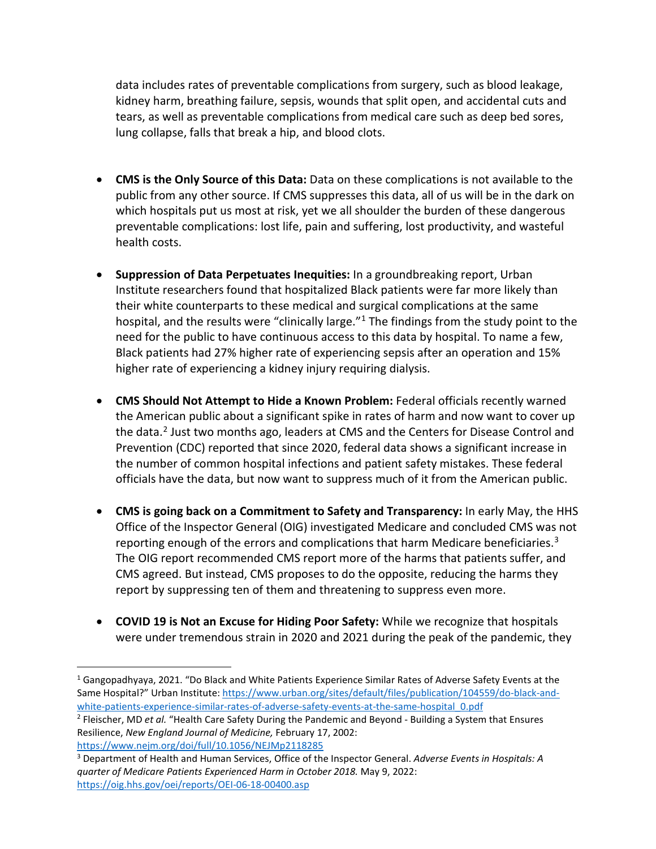data includes rates of preventable complications from surgery, such as blood leakage, kidney harm, breathing failure, sepsis, wounds that split open, and accidental cuts and tears, as well as preventable complications from medical care such as deep bed sores, lung collapse, falls that break a hip, and blood clots.

- **CMS is the Only Source of this Data:** Data on these complications is not available to the public from any other source. If CMS suppresses this data, all of us will be in the dark on which hospitals put us most at risk, yet we all shoulder the burden of these dangerous preventable complications: lost life, pain and suffering, lost productivity, and wasteful health costs.
- **Suppression of Data Perpetuates Inequities:** In a groundbreaking report, Urban Institute researchers found that hospitalized Black patients were far more likely than their white counterparts to these medical and surgical complications at the same hospital, and the results were "clinically large."<sup>1</sup> The findings from the study point to the need for the public to have continuous access to this data by hospital. To name a few, Black patients had 27% higher rate of experiencing sepsis after an operation and 15% higher rate of experiencing a kidney injury requiring dialysis.
- **CMS Should Not Attempt to Hide a Known Problem:** Federal officials recently warned the American public about a significant spike in rates of harm and now want to cover up the data.[2](#page-1-1) Just two months ago, leaders at CMS and the Centers for Disease Control and Prevention (CDC) reported that since 2020, federal data shows a significant increase in the number of common hospital infections and patient safety mistakes. These federal officials have the data, but now want to suppress much of it from the American public.
- **CMS is going back on a Commitment to Safety and Transparency:** In early May, the HHS Office of the Inspector General (OIG) investigated Medicare and concluded CMS was not reporting enough of the errors and complications that harm Medicare beneficiaries.<sup>[3](#page-1-2)</sup> The OIG report recommended CMS report more of the harms that patients suffer, and CMS agreed. But instead, CMS proposes to do the opposite, reducing the harms they report by suppressing ten of them and threatening to suppress even more.
- **COVID 19 is Not an Excuse for Hiding Poor Safety:** While we recognize that hospitals were under tremendous strain in 2020 and 2021 during the peak of the pandemic, they

<span id="page-1-0"></span><sup>1</sup> Gangopadhyaya, 2021. "Do Black and White Patients Experience Similar Rates of Adverse Safety Events at the Same Hospital?" Urban Institute[: https://www.urban.org/sites/default/files/publication/104559/do-black-and](https://www.urban.org/sites/default/files/publication/104559/do-black-and-white-patients-experience-similar-rates-of-adverse-safety-events-at-the-same-hospital_0.pdf)[white-patients-experience-similar-rates-of-adverse-safety-events-at-the-same-hospital\\_0.pdf](https://www.urban.org/sites/default/files/publication/104559/do-black-and-white-patients-experience-similar-rates-of-adverse-safety-events-at-the-same-hospital_0.pdf)

<span id="page-1-1"></span><sup>2</sup> Fleischer, MD *et al.* "Health Care Safety During the Pandemic and Beyond - Building a System that Ensures Resilience, *New England Journal of Medicine,* February 17, 2002: <https://www.nejm.org/doi/full/10.1056/NEJMp2118285>

<span id="page-1-2"></span><sup>3</sup> Department of Health and Human Services, Office of the Inspector General. *Adverse Events in Hospitals: A quarter of Medicare Patients Experienced Harm in October 2018.* May 9, 2022: <https://oig.hhs.gov/oei/reports/OEI-06-18-00400.asp>